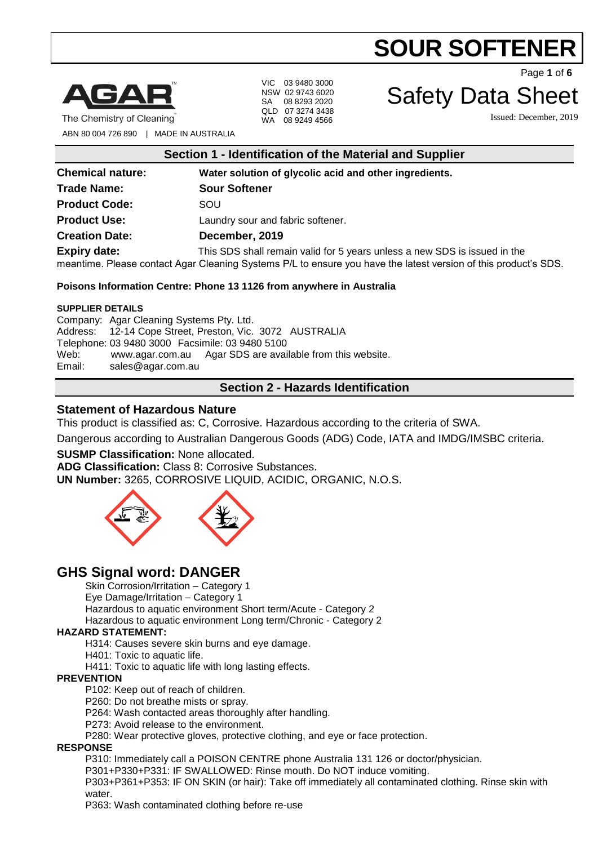



The Chemistry of Cleaning

VIC 03 9480 3000 NSW 02 9743 6020 SA 08 8293 2020 QLD 07 3274 3438 WA 08 9249 4566

Page **1** of **6**

# Safety Data Sheet

Issued: December, 2019

ABN 80 004 726 890 | MADE IN AUSTRALIA

|  | Section 1 - Identification of the Material and Supplier |  |  |  |  |
|--|---------------------------------------------------------|--|--|--|--|
|--|---------------------------------------------------------|--|--|--|--|

| <b>Chemical nature:</b> | Water solution of glycolic acid and other ingredients.                                                                                                                                       |  |
|-------------------------|----------------------------------------------------------------------------------------------------------------------------------------------------------------------------------------------|--|
| <b>Trade Name:</b>      | <b>Sour Softener</b>                                                                                                                                                                         |  |
| <b>Product Code:</b>    | SOU                                                                                                                                                                                          |  |
| <b>Product Use:</b>     | Laundry sour and fabric softener.                                                                                                                                                            |  |
| <b>Creation Date:</b>   | December, 2019                                                                                                                                                                               |  |
| <b>Expiry date:</b>     | This SDS shall remain valid for 5 years unless a new SDS is issued in the<br>meantime. Please contact Agar Cleaning Systems P/L to ensure you have the latest version of this product's SDS. |  |

#### **Poisons Information Centre: Phone 13 1126 from anywhere in Australia**

#### **SUPPLIER DETAILS**

Company: Agar Cleaning Systems Pty. Ltd. Address: 12-14 Cope Street, Preston, Vic. 3072 AUSTRALIA Telephone: 03 9480 3000 Facsimile: 03 9480 5100 Web: [www.agar.com.au](http://www.agar.com.au/) Agar SDS are available from this website. Email: [sales@agar.com.au](mailto:sales@agar.com.au)

### **Section 2 - Hazards Identification**

#### **Statement of Hazardous Nature**

This product is classified as: C, Corrosive. Hazardous according to the criteria of SWA.

Dangerous according to Australian Dangerous Goods (ADG) Code, IATA and IMDG/IMSBC criteria.

#### **SUSMP Classification:** None allocated.

**ADG Classification:** Class 8: Corrosive Substances.

**UN Number:** 3265, CORROSIVE LIQUID, ACIDIC, ORGANIC, N.O.S.



# **GHS Signal word: DANGER**

Skin Corrosion/Irritation – Category 1

Eye Damage/Irritation – Category 1

Hazardous to aquatic environment Short term/Acute - Category 2

Hazardous to aquatic environment Long term/Chronic - Category 2

#### **HAZARD STATEMENT:**

H314: Causes severe skin burns and eye damage.

H401: Toxic to aquatic life.

H411: Toxic to aquatic life with long lasting effects.

#### **PREVENTION**

P102: Keep out of reach of children.

P260: Do not breathe mists or spray.

P264: Wash contacted areas thoroughly after handling.

P273: Avoid release to the environment.

P280: Wear protective gloves, protective clothing, and eye or face protection.

#### **RESPONSE**

P310: Immediately call a POISON CENTRE phone Australia 131 126 or doctor/physician.

P301+P330+P331: IF SWALLOWED: Rinse mouth. Do NOT induce vomiting.

P303+P361+P353: IF ON SKIN (or hair): Take off immediately all contaminated clothing. Rinse skin with water.

P363: Wash contaminated clothing before re-use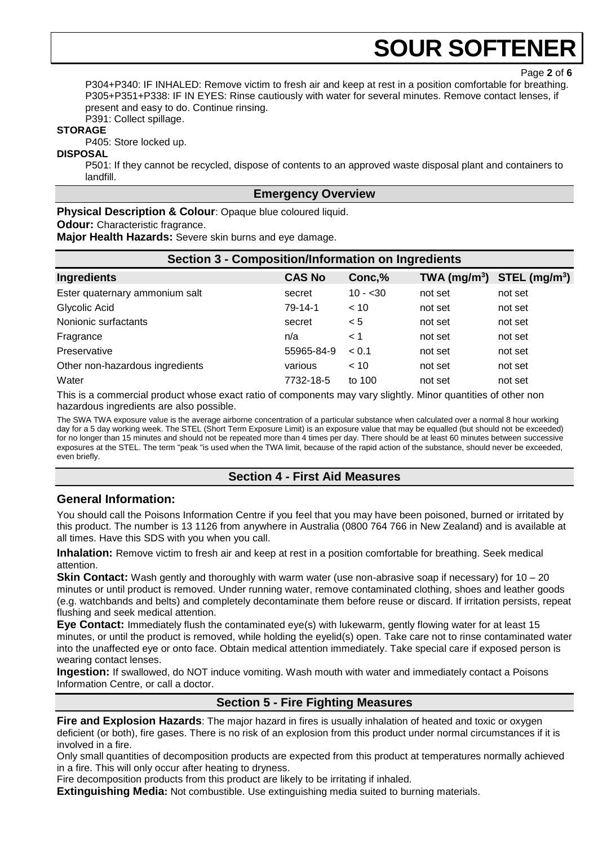P304+P340: IF INHALED: Remove victim to fresh air and keep at rest in a position comfortable for breathing. P305+P351+P338: IF IN EYES: Rinse cautiously with water for several minutes. Remove contact lenses, if present and easy to do. Continue rinsing.

P391: Collect spillage.

# **STORAGE**

P405: Store locked up.

#### **DISPOSAL**

P501: If they cannot be recycled, dispose of contents to an approved waste disposal plant and containers to landfill.

#### **Emergency Overview**

**Physical Description & Colour: Opaque blue coloured liquid.** 

#### **Odour:** Characteristic fragrance.

**Major Health Hazards:** Severe skin burns and eye damage.

| <b>Section 3 - Composition/Information on Ingredients</b> |               |           |                            |                             |
|-----------------------------------------------------------|---------------|-----------|----------------------------|-----------------------------|
| <b>Ingredients</b>                                        | <b>CAS No</b> | Conc,%    | $TWA$ (mg/m <sup>3</sup> ) | $STEL$ (mg/m <sup>3</sup> ) |
| Ester quaternary ammonium salt                            | secret        | $10 - 30$ | not set                    | not set                     |
| Glycolic Acid                                             | 79-14-1       | < 10      | not set                    | not set                     |
| Nonionic surfactants                                      | secret        | < 5       | not set                    | not set                     |
| Fragrance                                                 | n/a           | < 1       | not set                    | not set                     |
| Preservative                                              | 55965-84-9    | < 0.1     | not set                    | not set                     |
| Other non-hazardous ingredients                           | various       | < 10      | not set                    | not set                     |
| Water                                                     | 7732-18-5     | to 100    | not set                    | not set                     |

This is a commercial product whose exact ratio of components may vary slightly. Minor quantities of other non hazardous ingredients are also possible.

The SWA TWA exposure value is the average airborne concentration of a particular substance when calculated over a normal 8 hour working day for a 5 day working week. The STEL (Short Term Exposure Limit) is an exposure value that may be equalled (but should not be exceeded) for no longer than 15 minutes and should not be repeated more than 4 times per day. There should be at least 60 minutes between successive exposures at the STEL. The term "peak "is used when the TWA limit, because of the rapid action of the substance, should never be exceeded, even briefly.

### **Section 4 - First Aid Measures**

### **General Information:**

You should call the Poisons Information Centre if you feel that you may have been poisoned, burned or irritated by this product. The number is 13 1126 from anywhere in Australia (0800 764 766 in New Zealand) and is available at all times. Have this SDS with you when you call.

**Inhalation:** Remove victim to fresh air and keep at rest in a position comfortable for breathing. Seek medical attention.

**Skin Contact:** Wash gently and thoroughly with warm water (use non-abrasive soap if necessary) for 10 – 20 minutes or until product is removed. Under running water, remove contaminated clothing, shoes and leather goods (e.g. watchbands and belts) and completely decontaminate them before reuse or discard. If irritation persists, repeat flushing and seek medical attention.

**Eye Contact:** Immediately flush the contaminated eye(s) with lukewarm, gently flowing water for at least 15 minutes, or until the product is removed, while holding the eyelid(s) open. Take care not to rinse contaminated water into the unaffected eye or onto face. Obtain medical attention immediately. Take special care if exposed person is wearing contact lenses.

**Ingestion:** If swallowed, do NOT induce vomiting. Wash mouth with water and immediately contact a Poisons Information Centre, or call a doctor.

# **Section 5 - Fire Fighting Measures**

**Fire and Explosion Hazards**: The major hazard in fires is usually inhalation of heated and toxic or oxygen deficient (or both), fire gases. There is no risk of an explosion from this product under normal circumstances if it is involved in a fire.

Only small quantities of decomposition products are expected from this product at temperatures normally achieved in a fire. This will only occur after heating to dryness.

Fire decomposition products from this product are likely to be irritating if inhaled.

**Extinguishing Media:** Not combustible. Use extinguishing media suited to burning materials.

Page **2** of **6**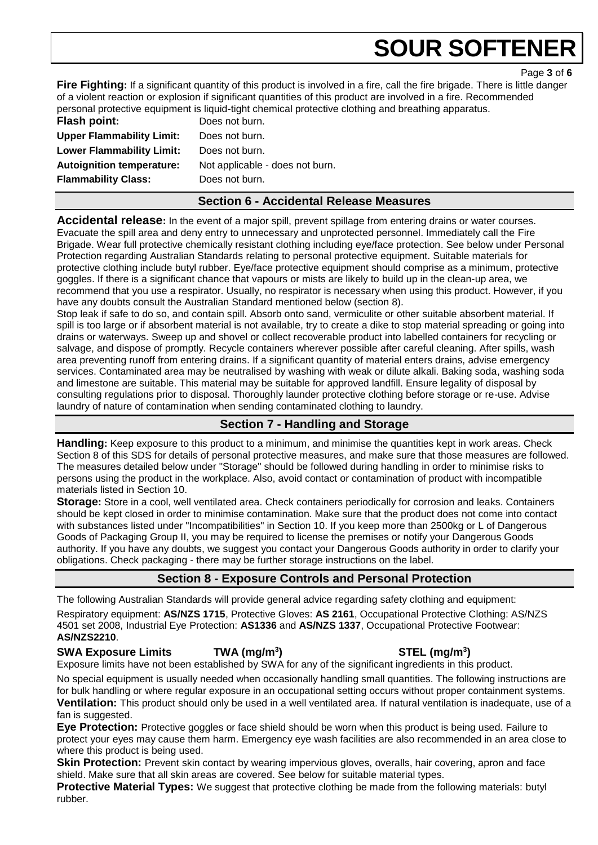Page **3** of **6**

**Fire Fighting:** If a significant quantity of this product is involved in a fire, call the fire brigade. There is little danger of a violent reaction or explosion if significant quantities of this product are involved in a fire. Recommended personal protective equipment is liquid-tight chemical protective clothing and breathing apparatus.

**Flash point:** Does not burn. **Upper Flammability Limit:** Does not burn. **Lower Flammability Limit:** Does not burn. **Autoignition temperature:** Not applicable - does not burn. **Flammability Class:** Does not burn.

# **Section 6 - Accidental Release Measures**

**Accidental release:** In the event of a major spill, prevent spillage from entering drains or water courses. Evacuate the spill area and deny entry to unnecessary and unprotected personnel. Immediately call the Fire Brigade. Wear full protective chemically resistant clothing including eye/face protection. See below under Personal Protection regarding Australian Standards relating to personal protective equipment. Suitable materials for protective clothing include butyl rubber. Eye/face protective equipment should comprise as a minimum, protective goggles. If there is a significant chance that vapours or mists are likely to build up in the clean-up area, we recommend that you use a respirator. Usually, no respirator is necessary when using this product. However, if you have any doubts consult the Australian Standard mentioned below (section 8).

Stop leak if safe to do so, and contain spill. Absorb onto sand, vermiculite or other suitable absorbent material. If spill is too large or if absorbent material is not available, try to create a dike to stop material spreading or going into drains or waterways. Sweep up and shovel or collect recoverable product into labelled containers for recycling or salvage, and dispose of promptly. Recycle containers wherever possible after careful cleaning. After spills, wash area preventing runoff from entering drains. If a significant quantity of material enters drains, advise emergency services. Contaminated area may be neutralised by washing with weak or dilute alkali. Baking soda, washing soda and limestone are suitable. This material may be suitable for approved landfill. Ensure legality of disposal by consulting regulations prior to disposal. Thoroughly launder protective clothing before storage or re-use. Advise laundry of nature of contamination when sending contaminated clothing to laundry.

# **Section 7 - Handling and Storage**

**Handling:** Keep exposure to this product to a minimum, and minimise the quantities kept in work areas. Check Section 8 of this SDS for details of personal protective measures, and make sure that those measures are followed. The measures detailed below under "Storage" should be followed during handling in order to minimise risks to persons using the product in the workplace. Also, avoid contact or contamination of product with incompatible materials listed in Section 10.

**Storage:** Store in a cool, well ventilated area. Check containers periodically for corrosion and leaks. Containers should be kept closed in order to minimise contamination. Make sure that the product does not come into contact with substances listed under "Incompatibilities" in Section 10. If you keep more than 2500kg or L of Dangerous Goods of Packaging Group II, you may be required to license the premises or notify your Dangerous Goods authority. If you have any doubts, we suggest you contact your Dangerous Goods authority in order to clarify your obligations. Check packaging - there may be further storage instructions on the label.

# **Section 8 - Exposure Controls and Personal Protection**

The following Australian Standards will provide general advice regarding safety clothing and equipment: Respiratory equipment: **AS/NZS 1715**, Protective Gloves: **AS 2161**, Occupational Protective Clothing: AS/NZS 4501 set 2008, Industrial Eye Protection: **AS1336** and **AS/NZS 1337**, Occupational Protective Footwear: **AS/NZS2210**.

### **SWA Exposure Limits TWA (mg/m<sup>3</sup>**

Exposure limits have not been established by SWA for any of the significant ingredients in this product.

No special equipment is usually needed when occasionally handling small quantities. The following instructions are for bulk handling or where regular exposure in an occupational setting occurs without proper containment systems. **Ventilation:** This product should only be used in a well ventilated area. If natural ventilation is inadequate, use of a fan is suggested.

**Eye Protection:** Protective goggles or face shield should be worn when this product is being used. Failure to protect your eyes may cause them harm. Emergency eye wash facilities are also recommended in an area close to where this product is being used.

**Skin Protection:** Prevent skin contact by wearing impervious gloves, overalls, hair covering, apron and face shield. Make sure that all skin areas are covered. See below for suitable material types.

**Protective Material Types:** We suggest that protective clothing be made from the following materials: butyl rubber.

**) STEL (mg/m<sup>3</sup> )**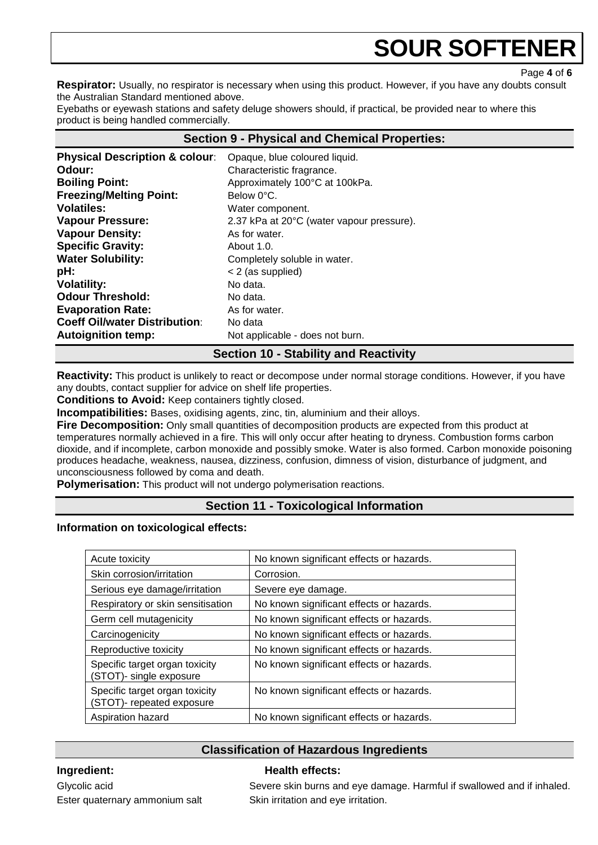Page **4** of **6**

**Respirator:** Usually, no respirator is necessary when using this product. However, if you have any doubts consult the Australian Standard mentioned above.

Eyebaths or eyewash stations and safety deluge showers should, if practical, be provided near to where this product is being handled commercially.

#### **Section 9 - Physical and Chemical Properties:**

| <b>Physical Description &amp; colour:</b> | Opaque, blue coloured liquid.             |
|-------------------------------------------|-------------------------------------------|
| Odour:                                    | Characteristic fragrance.                 |
| <b>Boiling Point:</b>                     | Approximately 100°C at 100kPa.            |
| <b>Freezing/Melting Point:</b>            | Below 0°C.                                |
| <b>Volatiles:</b>                         | Water component.                          |
| <b>Vapour Pressure:</b>                   | 2.37 kPa at 20°C (water vapour pressure). |
| <b>Vapour Density:</b>                    | As for water.                             |
| <b>Specific Gravity:</b>                  | About 1.0.                                |
| <b>Water Solubility:</b>                  | Completely soluble in water.              |
| pH:                                       | < 2 (as supplied)                         |
| <b>Volatility:</b>                        | No data.                                  |
| <b>Odour Threshold:</b>                   | No data.                                  |
| <b>Evaporation Rate:</b>                  | As for water.                             |
| <b>Coeff Oil/water Distribution:</b>      | No data                                   |
| <b>Autoignition temp:</b>                 | Not applicable - does not burn.           |

# **Section 10 - Stability and Reactivity**

**Reactivity:** This product is unlikely to react or decompose under normal storage conditions. However, if you have any doubts, contact supplier for advice on shelf life properties.

**Conditions to Avoid:** Keep containers tightly closed.

**Incompatibilities:** Bases, oxidising agents, zinc, tin, aluminium and their alloys.

**Fire Decomposition:** Only small quantities of decomposition products are expected from this product at temperatures normally achieved in a fire. This will only occur after heating to dryness. Combustion forms carbon dioxide, and if incomplete, carbon monoxide and possibly smoke. Water is also formed. Carbon monoxide poisoning produces headache, weakness, nausea, dizziness, confusion, dimness of vision, disturbance of judgment, and unconsciousness followed by coma and death.

**Polymerisation:** This product will not undergo polymerisation reactions.

# **Section 11 - Toxicological Information**

**Information on toxicological effects:** 

| Acute toxicity                                              | No known significant effects or hazards. |
|-------------------------------------------------------------|------------------------------------------|
| Skin corrosion/irritation                                   | Corrosion.                               |
| Serious eye damage/irritation                               | Severe eye damage.                       |
| Respiratory or skin sensitisation                           | No known significant effects or hazards. |
| Germ cell mutagenicity                                      | No known significant effects or hazards. |
| Carcinogenicity                                             | No known significant effects or hazards. |
| Reproductive toxicity                                       | No known significant effects or hazards. |
| Specific target organ toxicity<br>(STOT)- single exposure   | No known significant effects or hazards. |
| Specific target organ toxicity<br>(STOT)- repeated exposure | No known significant effects or hazards. |
| Aspiration hazard                                           | No known significant effects or hazards. |

# **Classification of Hazardous Ingredients**

#### **Ingredient: Health effects:**

Glycolic acid **Severe skin burns and eye damage. Harmful if swallowed and if inhaled.** Glycolic acid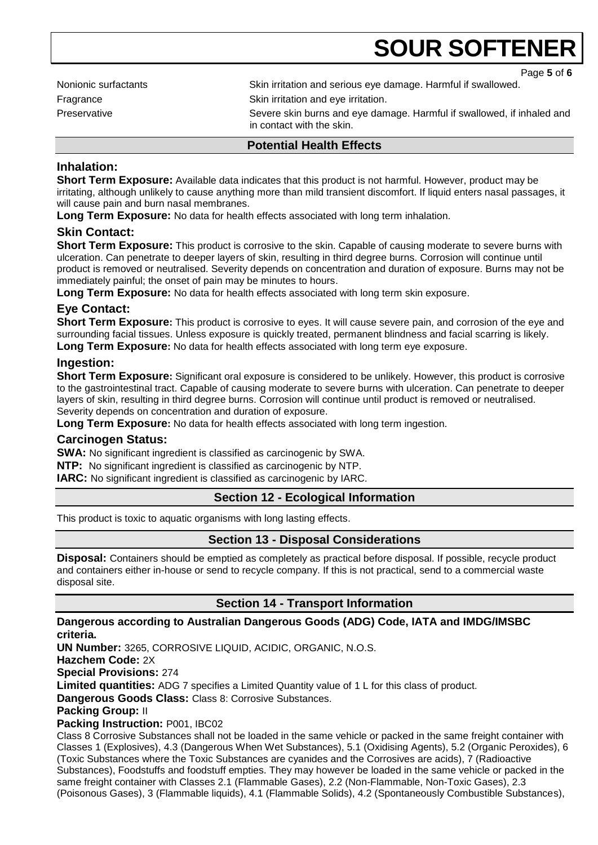Page **5** of **6**

Nonionic surfactants Skin irritation and serious eye damage. Harmful if swallowed. Fragrance **Skin** irritation and eye irritation.

Preservative **Severe skin burns and eye damage. Harmful if swallowed, if inhaled and**  $\blacksquare$ in contact with the skin.

### **Potential Health Effects**

### **Inhalation:**

**Short Term Exposure:** Available data indicates that this product is not harmful. However, product may be irritating, although unlikely to cause anything more than mild transient discomfort. If liquid enters nasal passages, it will cause pain and burn nasal membranes.

**Long Term Exposure:** No data for health effects associated with long term inhalation.

# **Skin Contact:**

**Short Term Exposure:** This product is corrosive to the skin. Capable of causing moderate to severe burns with ulceration. Can penetrate to deeper layers of skin, resulting in third degree burns. Corrosion will continue until product is removed or neutralised. Severity depends on concentration and duration of exposure. Burns may not be immediately painful; the onset of pain may be minutes to hours.

**Long Term Exposure:** No data for health effects associated with long term skin exposure.

# **Eye Contact:**

**Short Term Exposure:** This product is corrosive to eyes. It will cause severe pain, and corrosion of the eye and surrounding facial tissues. Unless exposure is quickly treated, permanent blindness and facial scarring is likely. **Long Term Exposure:** No data for health effects associated with long term eye exposure.

### **Ingestion:**

**Short Term Exposure:** Significant oral exposure is considered to be unlikely. However, this product is corrosive to the gastrointestinal tract. Capable of causing moderate to severe burns with ulceration. Can penetrate to deeper layers of skin, resulting in third degree burns. Corrosion will continue until product is removed or neutralised. Severity depends on concentration and duration of exposure.

**Long Term Exposure:** No data for health effects associated with long term ingestion.

### **Carcinogen Status:**

**SWA:** No significant ingredient is classified as carcinogenic by SWA.

**NTP:** No significant ingredient is classified as carcinogenic by NTP.

**IARC:** No significant ingredient is classified as carcinogenic by IARC.

# **Section 12 - Ecological Information**

This product is toxic to aquatic organisms with long lasting effects.

# **Section 13 - Disposal Considerations**

**Disposal:** Containers should be emptied as completely as practical before disposal. If possible, recycle product and containers either in-house or send to recycle company. If this is not practical, send to a commercial waste disposal site.

# **Section 14 - Transport Information**

#### **Dangerous according to Australian Dangerous Goods (ADG) Code, IATA and IMDG/IMSBC criteria.**

**UN Number:** 3265, CORROSIVE LIQUID, ACIDIC, ORGANIC, N.O.S. **Hazchem Code:** 2X **Special Provisions:** 274 **Limited quantities:** ADG 7 specifies a Limited Quantity value of 1 L for this class of product. **Dangerous Goods Class:** Class 8: Corrosive Substances. **Packing Group:** II **Packing Instruction:** P001, IBC02

Class 8 Corrosive Substances shall not be loaded in the same vehicle or packed in the same freight container with Classes 1 (Explosives), 4.3 (Dangerous When Wet Substances), 5.1 (Oxidising Agents), 5.2 (Organic Peroxides), 6 (Toxic Substances where the Toxic Substances are cyanides and the Corrosives are acids), 7 (Radioactive Substances), Foodstuffs and foodstuff empties. They may however be loaded in the same vehicle or packed in the same freight container with Classes 2.1 (Flammable Gases), 2.2 (Non-Flammable, Non-Toxic Gases), 2.3 (Poisonous Gases), 3 (Flammable liquids), 4.1 (Flammable Solids), 4.2 (Spontaneously Combustible Substances),